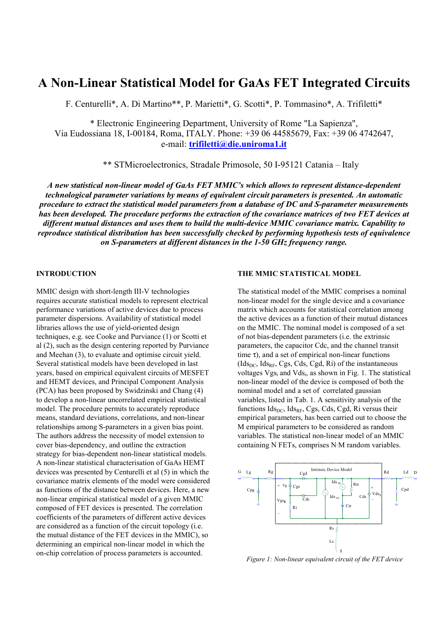# **A Non-Linear Statistical Model for GaAs FET Integrated Circuits**

F. Centurelli\*, A. Di Martino\*\*, P. Marietti\*, G. Scotti\*, P. Tommasino\*, A. Trifiletti\*

\* Electronic Engineering Department, University of Rome "La Sapienza", Via Eudossiana 18, I-00184, Roma, ITALY. Phone: +39 06 44585679, Fax: +39 06 4742647, e-mail: **trifiletti@die.uniroma1.it**

\*\* STMicroelectronics, Stradale Primosole, 50 I-95121 Catania – Italy

*A new statistical non-linear model of GaAs FET MMIC's which allows to represent distance-dependent technological parameter variations by means of equivalent circuit parameters is presented. An automatic procedure to extract the statistical model parameters from a database of DC and S-parameter measurements has been developed. The procedure performs the extraction of the covariance matrices of two FET devices at different mutual distances and uses them to build the multi-device MMIC covariance matrix. Capability to reproduce statistical distribution has been successfully checked by performing hypothesis tests of equivalence on S-parameters at different distances in the 1-50 GHz frequency range.*

### **INTRODUCTION**

MMIC design with short-length III-V technologies requires accurate statistical models to represent electrical performance variations of active devices due to process parameter dispersions. Availability of statistical model libraries allows the use of yield-oriented design techniques, e.g. see Cooke and Purviance (1) or Scotti et al (2), such as the design centering reported by Purviance and Meehan (3), to evaluate and optimise circuit yield. Several statistical models have been developed in last years, based on empirical equivalent circuits of MESFET and HEMT devices, and Principal Component Analysis (PCA) has been proposed by Swidzinski and Chang (4) to develop a non-linear uncorrelated empirical statistical model. The procedure permits to accurately reproduce means, standard deviations, correlations, and non-linear relationships among S-parameters in a given bias point. The authors address the necessity of model extension to cover bias-dependency, and outline the extraction strategy for bias-dependent non-linear statistical models. A non-linear statistical characterisation of GaAs HEMT devices was presented by Centurelli et al (5) in which the covariance matrix elements of the model were considered as functions of the distance between devices. Here, a new non-linear empirical statistical model of a given MMIC composed of FET devices is presented. The correlation coefficients of the parameters of different active devices are considered as a function of the circuit topology (i.e. the mutual distance of the FET devices in the MMIC), so determining an empirical non-linear model in which the on-chip correlation of process parameters is accounted.

#### **THE MMIC STATISTICAL MODEL**

The statistical model of the MMIC comprises a nominal non-linear model for the single device and a covariance matrix which accounts for statistical correlation among the active devices as a function of their mutual distances on the MMIC. The nominal model is composed of a set of not bias-dependent parameters (i.e. the extrinsic parameters, the capacitor Cdc, and the channel transit time  $\tau$ ), and a set of empirical non-linear functions  $(dsl_{DC}, Ids_{RF}, Cgs, Cds, Cgd, Ri)$  of the instantaneous voltages Vgs<sub>i</sub> and Vds<sub>i</sub>, as shown in Fig. 1. The statistical non-linear model of the device is composed of both the nominal model and a set of correlated gaussian variables, listed in Tab. 1. A sensitivity analysis of the functions  $\text{Id}_{\text{SDC}}$ ,  $\text{Id}_{\text{SRF}}$ , Cgs, Cds, Cgd, Ri versus their empirical parameters, has been carried out to choose the M empirical parameters to be considered as random variables. The statistical non-linear model of an MMIC containing N FETs, comprises N⋅M random variables.



*Figure 1: Non-linear equivalent circuit of the FET device*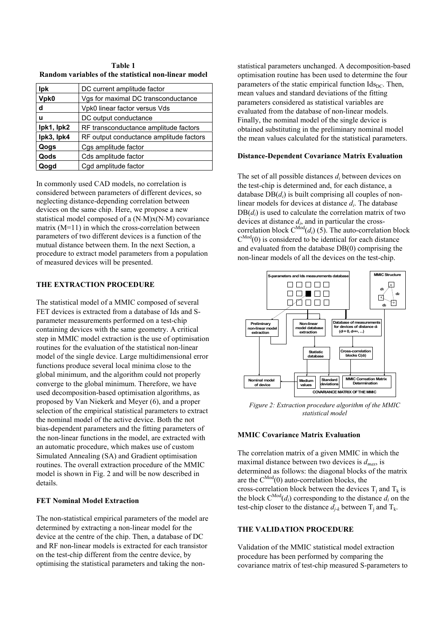| Table 1                                              |  |  |  |  |  |  |
|------------------------------------------------------|--|--|--|--|--|--|
| Random variables of the statistical non-linear model |  |  |  |  |  |  |

| <b>lpk</b> | DC current amplitude factor             |  |  |
|------------|-----------------------------------------|--|--|
| Vpk0       | Vgs for maximal DC transconductance     |  |  |
| d          | Vpk0 linear factor versus Vds           |  |  |
| u          | DC output conductance                   |  |  |
| lpk1, lpk2 | RF transconductance amplitude factors   |  |  |
| lpk3, lpk4 | RF output conductance amplitude factors |  |  |
| Qogs       | Cgs amplitude factor                    |  |  |
| Qods       | Cds amplitude factor                    |  |  |
| Qogd       | Cgd amplitude factor                    |  |  |

In commonly used CAD models, no correlation is considered between parameters of different devices, so neglecting distance-depending correlation between devices on the same chip. Here, we propose a new statistical model composed of a (N⋅M)x(N⋅M) covariance matrix (M=11) in which the cross-correlation between parameters of two different devices is a function of the mutual distance between them. In the next Section, a procedure to extract model parameters from a population of measured devices will be presented.

# **THE EXTRACTION PROCEDURE**

The statistical model of a MMIC composed of several FET devices is extracted from a database of Ids and Sparameter measurements performed on a test-chip containing devices with the same geometry. A critical step in MMIC model extraction is the use of optimisation routines for the evaluation of the statistical non-linear model of the single device. Large multidimensional error functions produce several local minima close to the global minimum, and the algorithm could not properly converge to the global minimum. Therefore, we have used decomposition-based optimisation algorithms, as proposed by Van Niekerk and Meyer (6), and a proper selection of the empirical statistical parameters to extract the nominal model of the active device. Both the not bias-dependent parameters and the fitting parameters of the non-linear functions in the model, are extracted with an automatic procedure, which makes use of custom Simulated Annealing (SA) and Gradient optimisation routines. The overall extraction procedure of the MMIC model is shown in Fig. 2 and will be now described in details.

# **FET Nominal Model Extraction**

The non-statistical empirical parameters of the model are determined by extracting a non-linear model for the device at the centre of the chip. Then, a database of DC and RF non-linear models is extracted for each transistor on the test-chip different from the centre device, by optimising the statistical parameters and taking the nonstatistical parameters unchanged. A decomposition-based optimisation routine has been used to determine the four parameters of the static empirical function  $\text{Id}_{\text{D}C}$ . Then, mean values and standard deviations of the fitting parameters considered as statistical variables are evaluated from the database of non-linear models. Finally, the nominal model of the single device is obtained substituting in the preliminary nominal model the mean values calculated for the statistical parameters.

#### **Distance-Dependent Covariance Matrix Evaluation**

The set of all possible distances *di* between devices on the test-chip is determined and, for each distance, a database DB(*di*) is built comprising all couples of nonlinear models for devices at distance *di*. The database DB(*di*) is used to calculate the correlation matrix of two devices at distance *di*, and in particular the crosscorrelation block  $C^{Mod}(d_i)$  (5). The auto-correlation block  $C^{Mod}(0)$  is considered to be identical for each distance and evaluated from the database DB(0) comprising the non-linear models of all the devices on the test-chip.



*Figure 2: Extraction procedure algorithm of the MMIC statistical model*

# **MMIC Covariance Matrix Evaluation**

The correlation matrix of a given MMIC in which the maximal distance between two devices is *dmax*, is determined as follows: the diagonal blocks of the matrix are the  $C^{Mod}(0)$  auto-correlation blocks, the cross-correlation block between the devices  $T_i$  and  $T_k$  is the block  $C^{Mod}(d_i)$  corresponding to the distance  $d_i$  on the test-chip closer to the distance  $d_{i-k}$  between  $T_i$  and  $T_k$ .

# **THE VALIDATION PROCEDURE**

Validation of the MMIC statistical model extraction procedure has been performed by comparing the covariance matrix of test-chip measured S-parameters to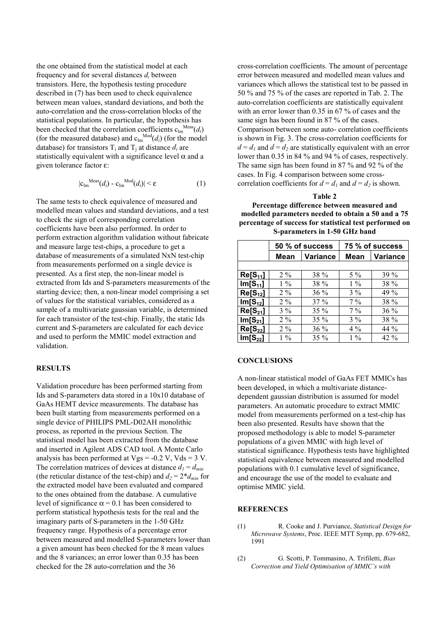the one obtained from the statistical model at each frequency and for several distances  $d_i$  between transistors. Here, the hypothesis testing procedure described in (7) has been used to check equivalence between mean values, standard deviations, and both the auto-correlation and the cross-correlation blocks of the statistical populations. In particular, the hypothesis has been checked that the correlation coefficients  $c_{lm}^{Meas}(d_i)$ (for the measured database) and  $c_{lm}^{Mod}(d_i)$  (for the model database) for transistors  $T_i$  and  $T_i$  at distance  $d_i$  are statistically equivalent with a significance level  $\alpha$  and a given tolerance factor ε:

$$
|\mathbf{c}_{lm}^{\text{Meas}}(d_i) - \mathbf{c}_{lm}^{\text{Mod}}(d_i)| < \varepsilon \tag{1}
$$

The same tests to check equivalence of measured and modelled mean values and standard deviations, and a test to check the sign of corresponding correlation coefficients have been also performed. In order to perform extraction algorithm validation without fabricate and measure large test-chips, a procedure to get a database of measurements of a simulated NxN test-chip from measurements performed on a single device is presented. As a first step, the non-linear model is extracted from Ids and S-parameters measurements of the starting device; then, a non-linear model comprising a set of values for the statistical variables, considered as a sample of a multivariate gaussian variable, is determined for each transistor of the test-chip. Finally, the static Ids current and S-parameters are calculated for each device and used to perform the MMIC model extraction and validation.

# **RESULTS**

Validation procedure has been performed starting from Ids and S-parameters data stored in a 10x10 database of GaAs HEMT device measurements. The database has been built starting from measurements performed on a single device of PHILIPS PML-D02AH monolithic process, as reported in the previous Section. The statistical model has been extracted from the database and inserted in Agilent ADS CAD tool. A Monte Carlo analysis has been performed at  $Vgs = -0.2$  V,  $Vds = 3$  V. The correlation matrices of devices at distance  $d_1 = d_{min}$ (the reticular distance of the test-chip) and  $d_2 = 2 * d_{min}$  for the extracted model have been evaluated and compared to the ones obtained from the database. A cumulative level of significance  $\alpha = 0.1$  has been considered to perform statistical hypothesis tests for the real and the imaginary parts of S-parameters in the 1-50 GHz frequency range. Hypothesis of a percentage error between measured and modelled S-parameters lower than a given amount has been checked for the 8 mean values and the 8 variances; an error lower than 0.35 has been checked for the 28 auto-correlation and the 36

cross-correlation coefficients. The amount of percentage error between measured and modelled mean values and variances which allows the statistical test to be passed in 50 % and 75 % of the cases are reported in Tab. 2. The auto-correlation coefficients are statistically equivalent with an error lower than 0.35 in 67 % of cases and the same sign has been found in 87 % of the cases. Comparison between some auto- correlation coefficients is shown in Fig. 3. The cross-correlation coefficients for  $d = d_1$  and  $d = d_2$  are statistically equivalent with an error lower than 0.35 in 84 % and 94 % of cases, respectively. The same sign has been found in 87 % and 92 % of the cases. In Fig. 4 comparison between some crosscorrelation coefficients for  $d = d_1$  and  $d = d_2$  is shown.

#### **Table 2**

**Percentage difference between measured and modelled parameters needed to obtain a 50 and a 75 percentage of success for statistical test performed on S-parameters in 1-50 GHz band**

|              | 50 % of success |                 | 75 % of success |                 |  |
|--------------|-----------------|-----------------|-----------------|-----------------|--|
|              | Mean            | <b>Variance</b> | Mean            | <b>Variance</b> |  |
|              |                 |                 |                 |                 |  |
| $Re[S_{11}]$ | $2\%$           | 38 %            | $5\%$           | $39\%$          |  |
| $Im[S_{11}]$ | $1\%$           | 38 %            | $1\%$           | 38 %            |  |
| $Re[S_{12}]$ | $2\%$           | 36 %            | $3\%$           | 49 %            |  |
| $Im[S_{12}]$ | $2\%$           | $37\%$          | $7\%$           | 38 %            |  |
| $Re[S_{21}]$ | $3\%$           | $35\%$          | $7\%$           | $36\%$          |  |
| $Im[S_{21}]$ | $2\%$           | $35\%$          | $3\%$           | 38 %            |  |
| $Re[S_{22}]$ | $2\%$           | 36 %            | $4\%$           | 44 %            |  |
| $Im[S_{22}]$ | $1\%$           | $35\%$          | $1\%$           | $42\%$          |  |

## **CONCLUSIONS**

A non-linear statistical model of GaAs FET MMICs has been developed, in which a multivariate distancedependent gaussian distribution is assumed for model parameters. An automatic procedure to extract MMIC model from measurements performed on a test-chip has been also presented. Results have shown that the proposed methodology is able to model S-parameter populations of a given MMIC with high level of statistical significance. Hypothesis tests have highlighted statistical equivalence between measured and modelled populations with 0.1 cumulative level of significance, and encourage the use of the model to evaluate and optimise MMIC yield.

# **REFERENCES**

- (1) R. Cooke and J. Purviance, *Statistical Design for Microwave Systems*, Proc. IEEE MTT Symp, pp. 679-682, 1991
- (2) G. Scotti, P. Tommasino, A. Trifiletti, *Bias Correction and Yield Optimisation of MMIC's with*